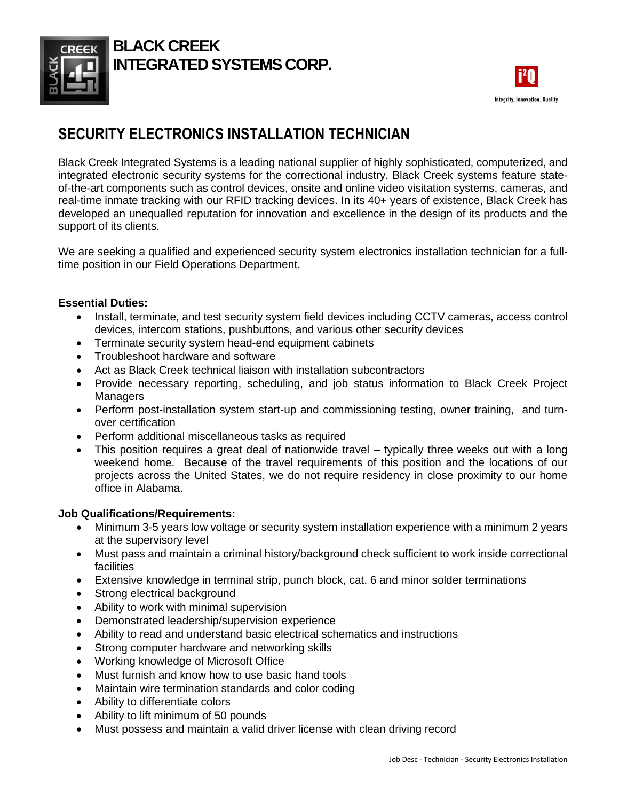

## **BLACK CREEK INTEGRATED SYSTEMS CORP.**



# **SECURITY ELECTRONICS INSTALLATION TECHNICIAN**

Black Creek Integrated Systems is a leading national supplier of highly sophisticated, computerized, and integrated electronic security systems for the correctional industry. Black Creek systems feature stateof-the-art components such as control devices, onsite and online video visitation systems, cameras, and real-time inmate tracking with our RFID tracking devices. In its 40+ years of existence, Black Creek has developed an unequalled reputation for innovation and excellence in the design of its products and the support of its clients.

We are seeking a qualified and experienced security system electronics installation technician for a fulltime position in our Field Operations Department.

#### **Essential Duties:**

- Install, terminate, and test security system field devices including CCTV cameras, access control devices, intercom stations, pushbuttons, and various other security devices
- Terminate security system head-end equipment cabinets
- Troubleshoot hardware and software
- Act as Black Creek technical liaison with installation subcontractors
- Provide necessary reporting, scheduling, and job status information to Black Creek Project **Managers**
- Perform post-installation system start-up and commissioning testing, owner training, and turnover certification
- Perform additional miscellaneous tasks as required
- This position requires a great deal of nationwide travel typically three weeks out with a long weekend home. Because of the travel requirements of this position and the locations of our projects across the United States, we do not require residency in close proximity to our home office in Alabama.

#### **Job Qualifications/Requirements:**

- Minimum 3-5 years low voltage or security system installation experience with a minimum 2 years at the supervisory level
- Must pass and maintain a criminal history/background check sufficient to work inside correctional facilities
- Extensive knowledge in terminal strip, punch block, cat. 6 and minor solder terminations
- Strong electrical background
- Ability to work with minimal supervision
- Demonstrated leadership/supervision experience
- Ability to read and understand basic electrical schematics and instructions
- Strong computer hardware and networking skills
- Working knowledge of Microsoft Office
- Must furnish and know how to use basic hand tools
- Maintain wire termination standards and color coding
- Ability to differentiate colors
- Ability to lift minimum of 50 pounds
- Must possess and maintain a valid driver license with clean driving record